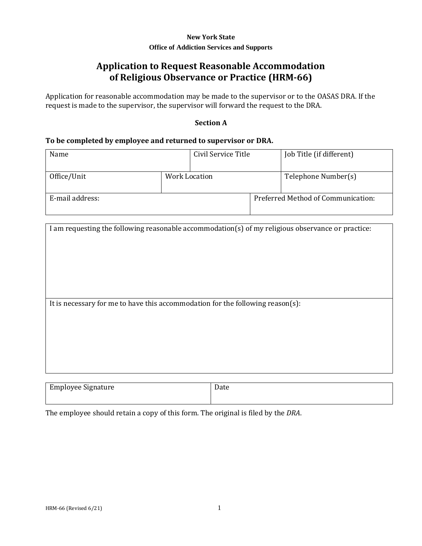## **New York State Office of Addiction Services and Supports**

# **Application to Request Reasonable Accommodation of Religious Observance or Practice (HRM-66)**

Application for reasonable accommodation may be made to the supervisor or to the OASAS DRA. If the request is made to the supervisor, the supervisor will forward the request to the DRA.

## **Section A**

### **To be completed by employee and returned to supervisor or DRA.**

| Name            |               | Civil Service Title | Job Title (if different)           |
|-----------------|---------------|---------------------|------------------------------------|
| Office/Unit     | Work Location |                     | Telephone Number(s)                |
| E-mail address: |               |                     | Preferred Method of Communication: |

| I am requesting the following reasonable accommodation(s) of my religious observance or practice: |      |  |
|---------------------------------------------------------------------------------------------------|------|--|
|                                                                                                   |      |  |
|                                                                                                   |      |  |
|                                                                                                   |      |  |
|                                                                                                   |      |  |
|                                                                                                   |      |  |
|                                                                                                   |      |  |
|                                                                                                   |      |  |
|                                                                                                   |      |  |
|                                                                                                   |      |  |
| It is necessary for me to have this accommodation for the following reason(s):                    |      |  |
|                                                                                                   |      |  |
|                                                                                                   |      |  |
|                                                                                                   |      |  |
|                                                                                                   |      |  |
|                                                                                                   |      |  |
|                                                                                                   |      |  |
|                                                                                                   |      |  |
|                                                                                                   |      |  |
|                                                                                                   |      |  |
|                                                                                                   |      |  |
|                                                                                                   |      |  |
| <b>Employee Signature</b>                                                                         | Date |  |

The employee should retain a copy of this form. The original is filed by the *DRA*.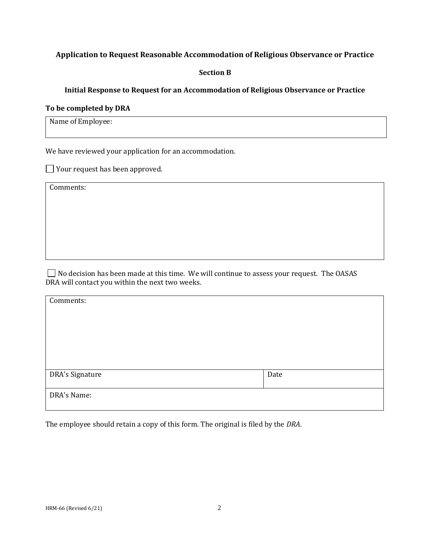# **Application to Request Reasonable Accommodation of Religious Observance or Practice**

### **Section B**

## **Initial Response to Request for an Accommodation of Religious Observance or Practice**

#### **To be completed by DRA**

Name of Employee:

We have reviewed your application for an accommodation.

 $\Box$  Your request has been approved.

Comments:

 $\Box$  No decision has been made at this time. We will continue to assess your request. The OASAS DRA will contact you within the next two weeks.

| Comments:       |      |
|-----------------|------|
|                 |      |
|                 |      |
|                 |      |
|                 |      |
| DRA's Signature | Date |
| DRA's Name:     |      |

The employee should retain a copy of this form. The original is filed by the *DRA*.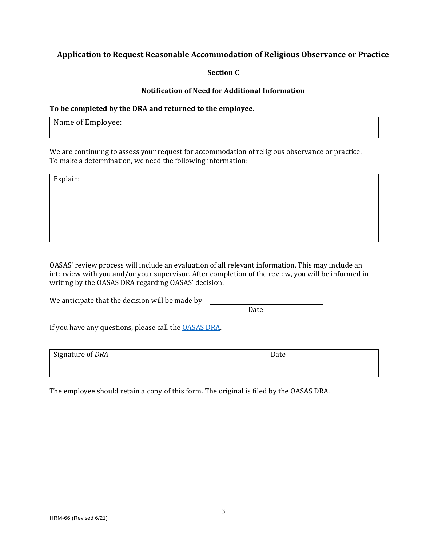# **Application to Request Reasonable Accommodation of Religious Observance or Practice**

**Section C**

#### **Notification of Need for Additional Information**

### **To be completed by the DRA and returned to the employee.**

Name of Employee:

We are continuing to assess your request for accommodation of religious observance or practice. To make a determination, we need the following information:

Explain:

OASAS' review process will include an evaluation of all relevant information. This may include an interview with you and/or your supervisor. After completion of the review, you will be informed in writing by the OASAS DRA regarding OASAS' decision.

We anticipate that the decision will be made by

Date

If you have any questions, please call th[e OASAS DRA.](https://nysemail.sharepoint.com/sites/OASASIntranet/oasasweb/HumanResources/Documents/ContactInfo.docx)

| Signature of DRA | Date |
|------------------|------|
|                  |      |
|                  |      |

The employee should retain a copy of this form. The original is filed by the OASAS DRA.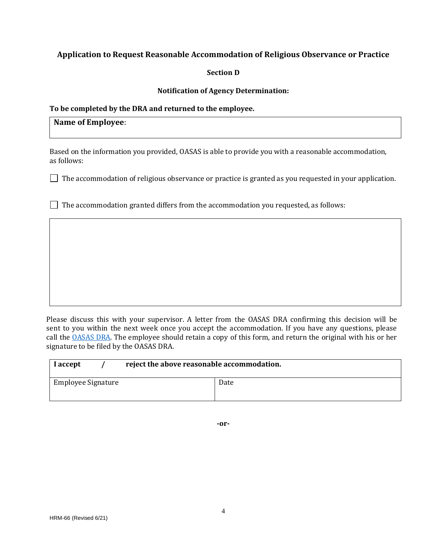# **Application to Request Reasonable Accommodation of Religious Observance or Practice**

#### **Section D**

#### **Notification of Agency Determination:**

## **To be completed by the DRA and returned to the employee.**

# **Name of Employee**:

Based on the information you provided, OASAS is able to provide you with a reasonable accommodation, as follows:

 $\Box$  The accommodation of religious observance or practice is granted as you requested in your application.

 $\Box$  The accommodation granted differs from the accommodation you requested, as follows:

Please discuss this with your supervisor. A letter from the OASAS DRA confirming this decision will be sent to you within the next week once you accept the accommodation. If you have any questions, please call the **OASAS DRA**. The employee should retain a copy of this form, and return the original with his or her signature to be filed by the OASAS DRA.

| I accept           | reject the above reasonable accommodation. |      |
|--------------------|--------------------------------------------|------|
| Employee Signature |                                            | Date |

**-or-**